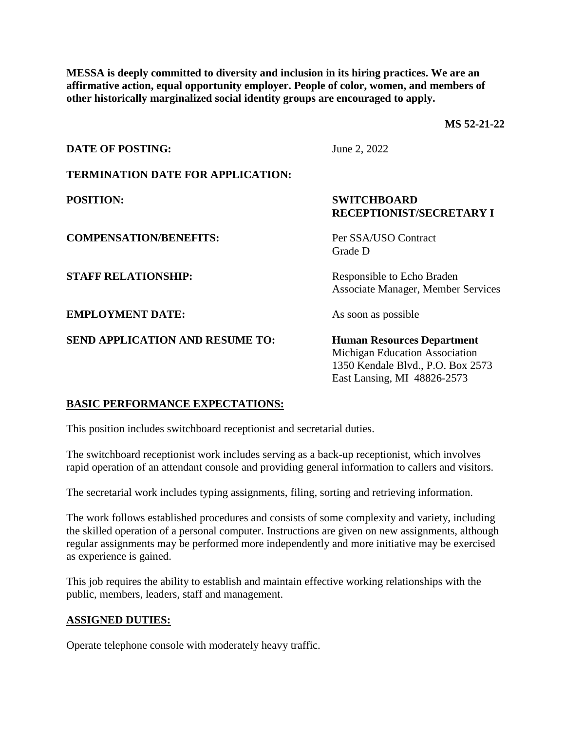**MESSA is deeply committed to diversity and inclusion in its hiring practices. We are an affirmative action, equal opportunity employer. People of color, women, and members of other historically marginalized social identity groups are encouraged to apply.**

**MS 52-21-22**

| <b>DATE OF POSTING:</b>                  | June 2, 2022                                                                                                                            |
|------------------------------------------|-----------------------------------------------------------------------------------------------------------------------------------------|
| <b>TERMINATION DATE FOR APPLICATION:</b> |                                                                                                                                         |
| <b>POSITION:</b>                         | <b>SWITCHBOARD</b><br><b>RECEPTIONIST/SECRETARY I</b>                                                                                   |
| <b>COMPENSATION/BENEFITS:</b>            | Per SSA/USO Contract<br>Grade D                                                                                                         |
| <b>STAFF RELATIONSHIP:</b>               | Responsible to Echo Braden<br><b>Associate Manager, Member Services</b>                                                                 |
| <b>EMPLOYMENT DATE:</b>                  | As soon as possible                                                                                                                     |
| <b>SEND APPLICATION AND RESUME TO:</b>   | <b>Human Resources Department</b><br>Michigan Education Association<br>1350 Kendale Blvd., P.O. Box 2573<br>East Lansing, MI 48826-2573 |

# **BASIC PERFORMANCE EXPECTATIONS:**

This position includes switchboard receptionist and secretarial duties.

The switchboard receptionist work includes serving as a back-up receptionist, which involves rapid operation of an attendant console and providing general information to callers and visitors.

The secretarial work includes typing assignments, filing, sorting and retrieving information.

The work follows established procedures and consists of some complexity and variety, including the skilled operation of a personal computer. Instructions are given on new assignments, although regular assignments may be performed more independently and more initiative may be exercised as experience is gained.

This job requires the ability to establish and maintain effective working relationships with the public, members, leaders, staff and management.

#### **ASSIGNED DUTIES:**

Operate telephone console with moderately heavy traffic.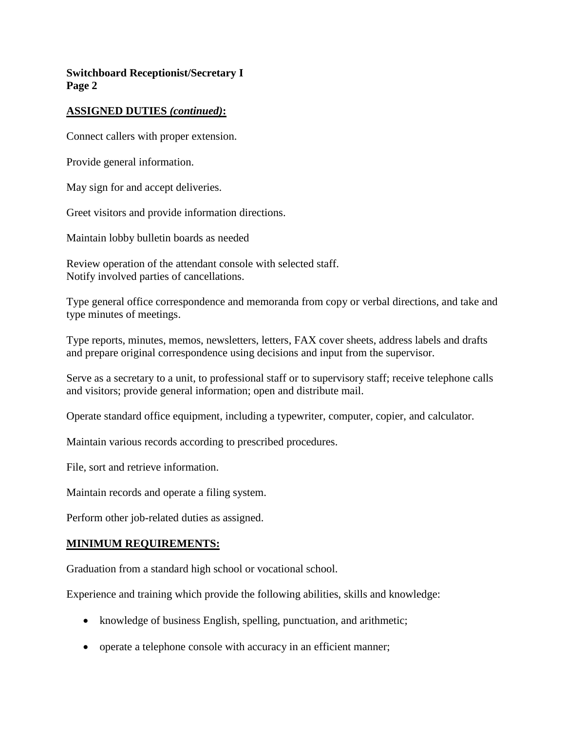# **Switchboard Receptionist/Secretary I Page 2**

## **ASSIGNED DUTIES** *(continued)***:**

Connect callers with proper extension.

Provide general information.

May sign for and accept deliveries.

Greet visitors and provide information directions.

Maintain lobby bulletin boards as needed

Review operation of the attendant console with selected staff. Notify involved parties of cancellations.

Type general office correspondence and memoranda from copy or verbal directions, and take and type minutes of meetings.

Type reports, minutes, memos, newsletters, letters, FAX cover sheets, address labels and drafts and prepare original correspondence using decisions and input from the supervisor.

Serve as a secretary to a unit, to professional staff or to supervisory staff; receive telephone calls and visitors; provide general information; open and distribute mail.

Operate standard office equipment, including a typewriter, computer, copier, and calculator.

Maintain various records according to prescribed procedures.

File, sort and retrieve information.

Maintain records and operate a filing system.

Perform other job-related duties as assigned.

#### **MINIMUM REQUIREMENTS:**

Graduation from a standard high school or vocational school.

Experience and training which provide the following abilities, skills and knowledge:

- knowledge of business English, spelling, punctuation, and arithmetic;
- operate a telephone console with accuracy in an efficient manner;